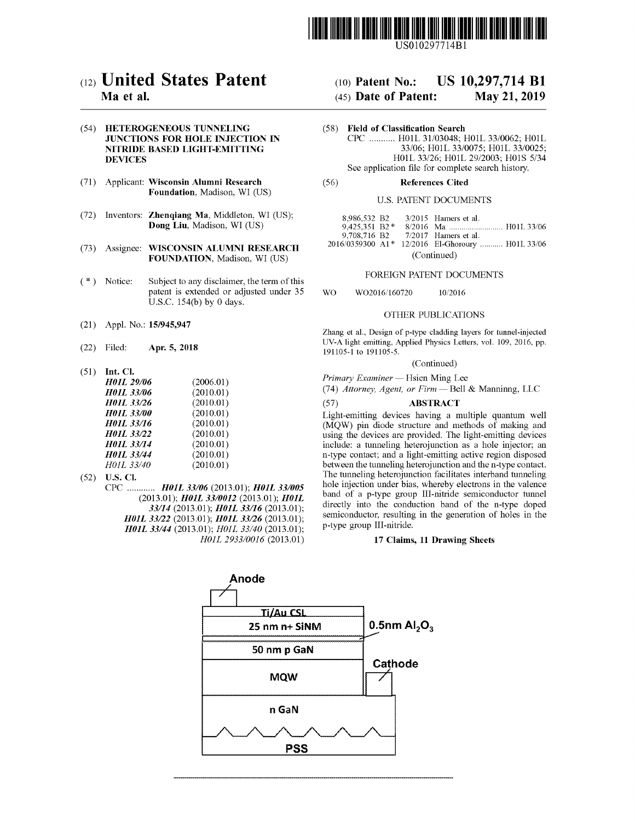

US010297714Bl

# c12) **United States Patent**

# **Ma et al.**

# (54) **HETEROGENEOUS TUNNELING JUNCTIONS FOR HOLE INJECTION IN NITRIDE BASED LIGHT-EMITTING DEVICES**

- (71) Applicant: **Wisconsin Alumni Research Foundation,** Madison, WI (US)
- (72) Inventors: **Zhenqiang Ma,** Middleton, WI (US); **Dong Liu,** Madison, WI (US)
- (73) Assignee: **WISCONSIN ALUMNI RESEARCH FOUNDATION,** Madison, WI (US)
- $(*)$  Notice: Subject to any disclaimer, the term of this patent is extended or adjusted under 35 U.S.C. 154(b) by 0 days.
- (21) Appl. No.: **15/945,947**
- (22) Filed: **Apr. 5, 2018**
- (51) **Int. Cl.**

| <b>H01L 29/06</b> | (2006.01) |
|-------------------|-----------|
|                   |           |
| <b>H01L 33/06</b> | (2010.01) |
| H01L 33/26        | (2010.01) |
| <b>H01L 33/00</b> | (2010.01) |
| <b>H01L 33/16</b> | (2010.01) |
| <b>H01L 33/22</b> | (2010.01) |
| <b>H01L 33/14</b> | (2010.01) |
| <b>H01L 33/44</b> | (2010.01) |
| H01L 33/40        | (2010.01) |

- (52) **U.S. Cl.** 
	- CPC ............ *H0JL 33/06* (2013.01); *H0JL 33/005*  (2013.01); *H0JL 33/0012* (2013.01); *H0JL 33/14* (2013.01); *H0JL 33/16* (2013.01); *H0JL 33122* (2013.01); *H0JL 33/26* (2013.01); *H0JL 33/44* (2013.01); *H0JL 33/40* (2013.01); *H0JL 2933/0016* (2013.01)

# (10) **Patent No.:** US 10,297,714 Bl

# (45) **Date of Patent:** May 21, 2019

- (58) **Field of Classification Search**  CPC ........... H0lL 31/03048; H0lL 33/0062; H01L 33/06; H01L 33/0075; H01L 33/0025; H01L 33/26; H0lL 29/2003; H0lS 5/34 See application file for complete search history.
- (56) **References Cited**

# U.S. PATENT DOCUMENTS

| 8.986.532 B2    |  |  | $3/2015$ Hamers et al.                           |  |
|-----------------|--|--|--------------------------------------------------|--|
| $9.425.351 B2*$ |  |  |                                                  |  |
|                 |  |  | 9.708.716 B2 7/2017 Hamers et al.                |  |
|                 |  |  | 2016/0359300 A1* 12/2016 El-Ghoroury  H01L 33/06 |  |
| (Continued)     |  |  |                                                  |  |

## FOREIGN PATENT DOCUMENTS

WO W02016/160720 10/2016

# OTHER PUBLICATIONS

Zhang et al., Design of p-type cladding layers for tunnel-injected UV-A light emitting, Applied Physics Letters, vol. 109, 2016, pp. 191105-1 to 191105-5.

# (Continued)

*Primary Examiner* - Hsien Ming Lee

(74) *Attorney, Agent, or Firm* - Bell & Manninng, LLC

## (57) **ABSTRACT**

Light-emitting devices having a multiple quantum well (MQW) pin diode structure and methods of making and using the devices are provided. The light-emitting devices include: a tunneling heterojunction as a hole injector; an n-type contact; and a light-emitting active region disposed between the tunneling heterojunction and the n-type contact. The tunneling heterojunction facilitates interband tunneling hole injection under bias, whereby electrons in the valence band of a p-type group III-nitride semiconductor tunnel directly into the conduction band of the n-type doped semiconductor, resulting in the generation of holes in the p-type group III-nitride.

#### **17 Claims, 11 Drawing Sheets**

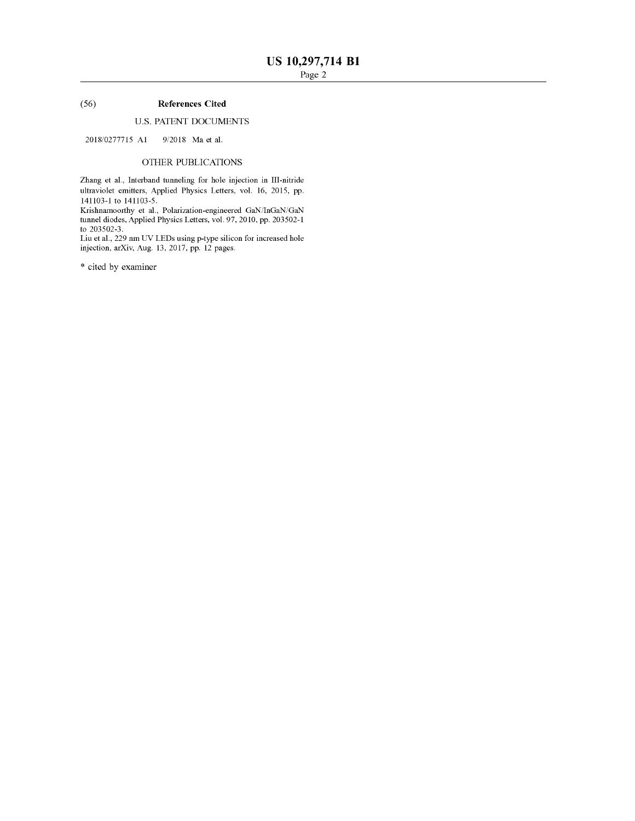# (56) **References Cited**

# U.S. PATENT DOCUMENTS

2018/0277715 Al 9/2018 Maetal.

# OTHER PUBLICATIONS

Zhang et al., Interband tunneling for hole injection in III-nitride ultraviolet emitters, Applied Physics Letters, vol. 16, 2015, pp. 141103-1 to 141103-5.

Krishnamoorthy et al., Polarization-engineered GaN/InGaN/GaN tunnel diodes, Applied Physics Letters, vol. 97, 2010, pp. 203502-1 to 203502-3.

Liu et al., 229 nm UV LEDs using p-type silicon for increased hole injection, arXiv, Aug. 13, 2017, pp. 12 pages.

\* cited by examiner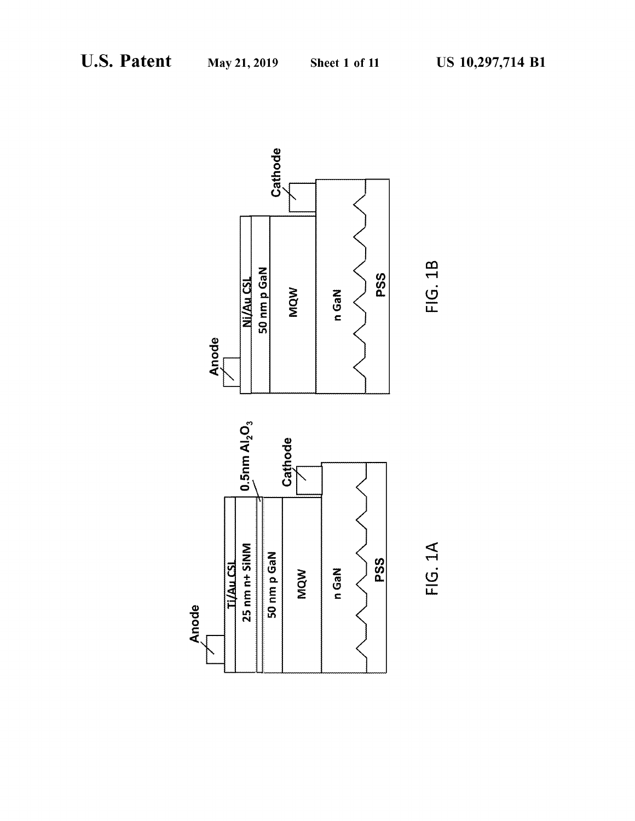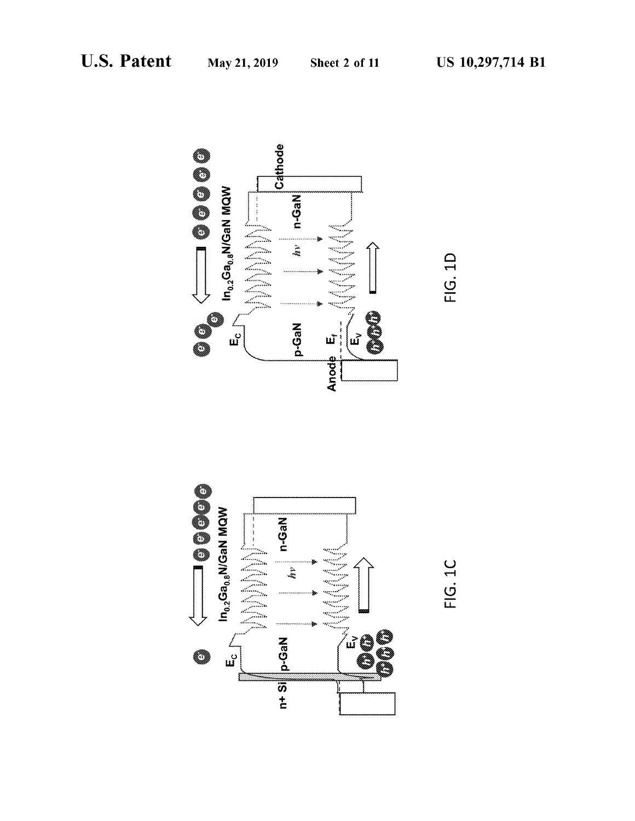





FIG. 1C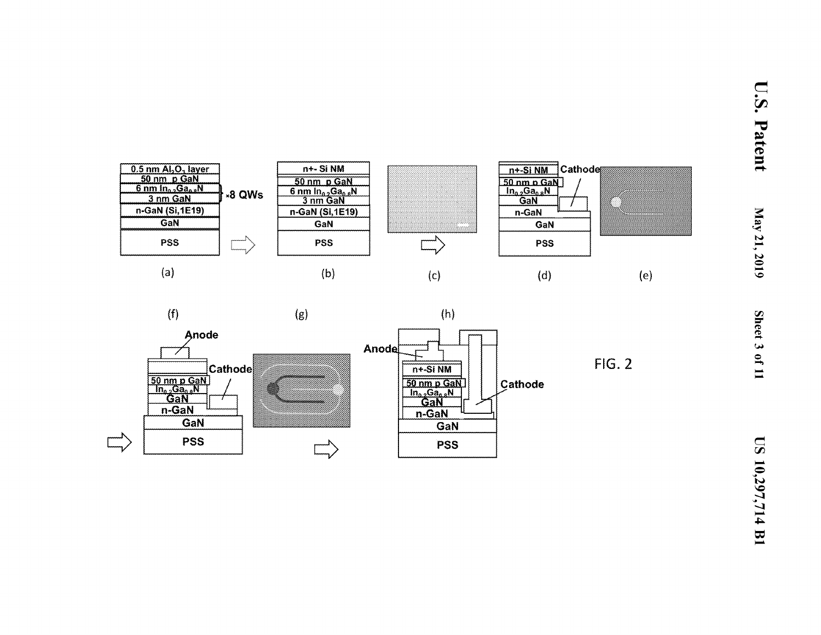



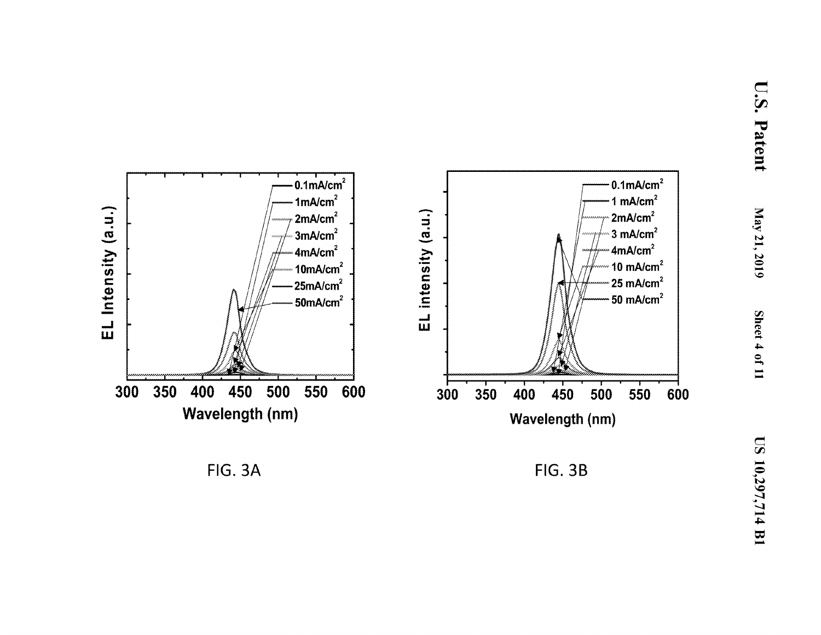



450

400

500

EL Intensity (a.u.)

300

350

**FIG. 3B**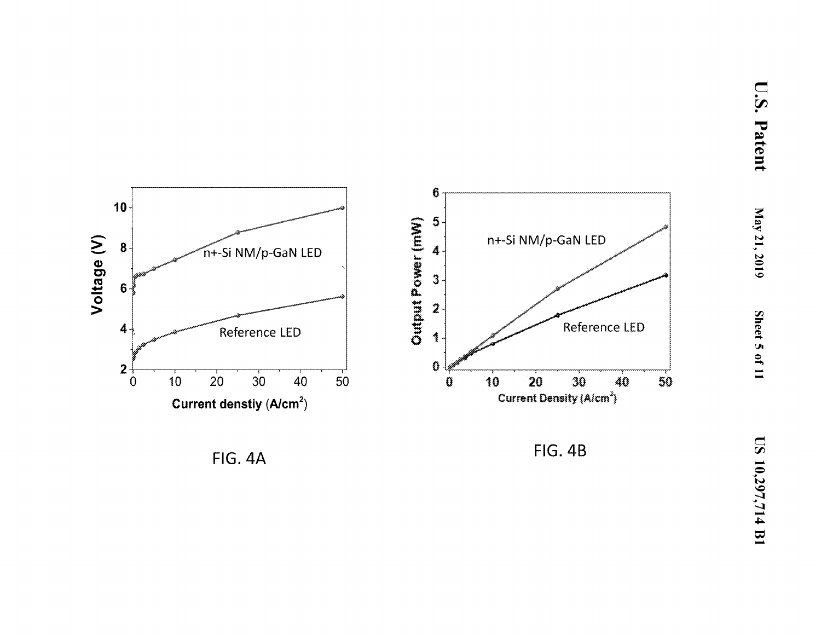

**FIG. 4A** 

**FIG. 4B**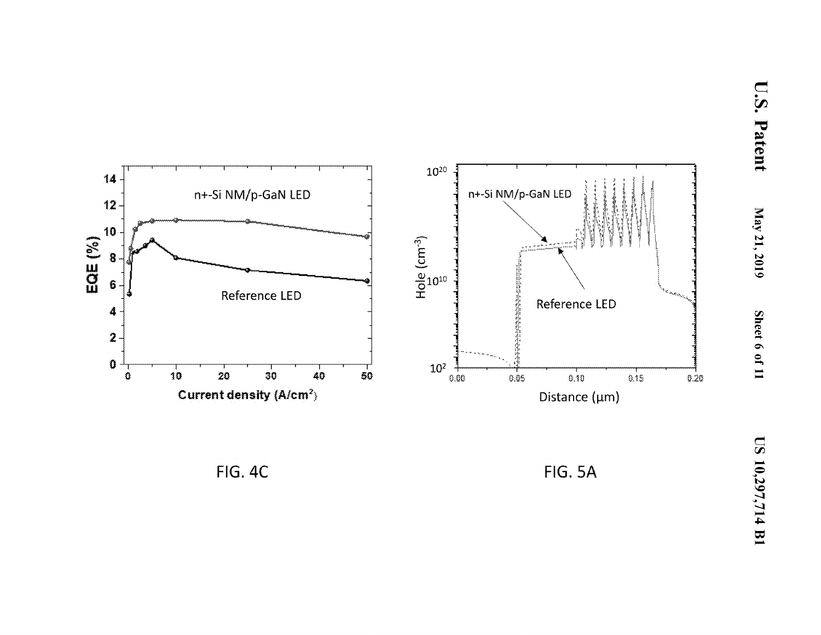

**FIG. 4C** 

**FIG. 5A**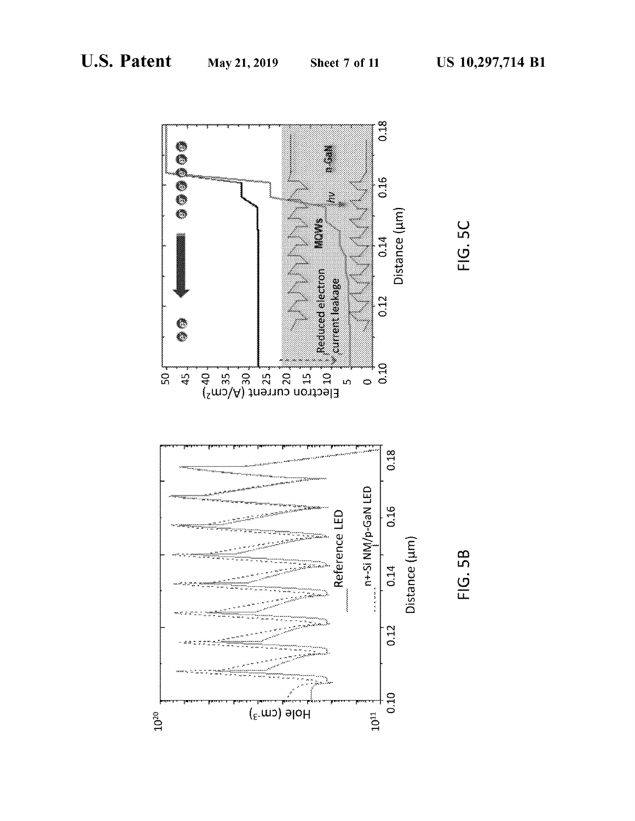



FIG. 5B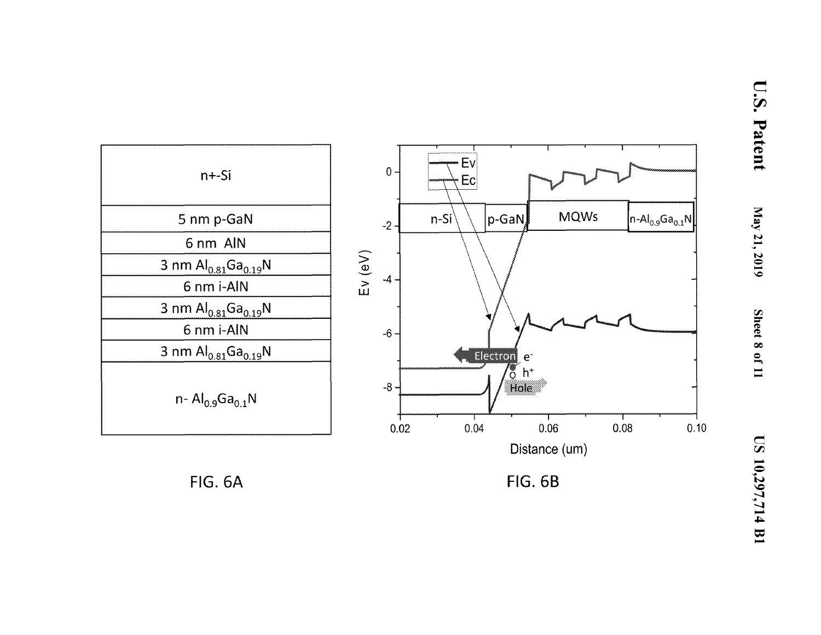

**FIG. 6A** 

**FIG. 6B**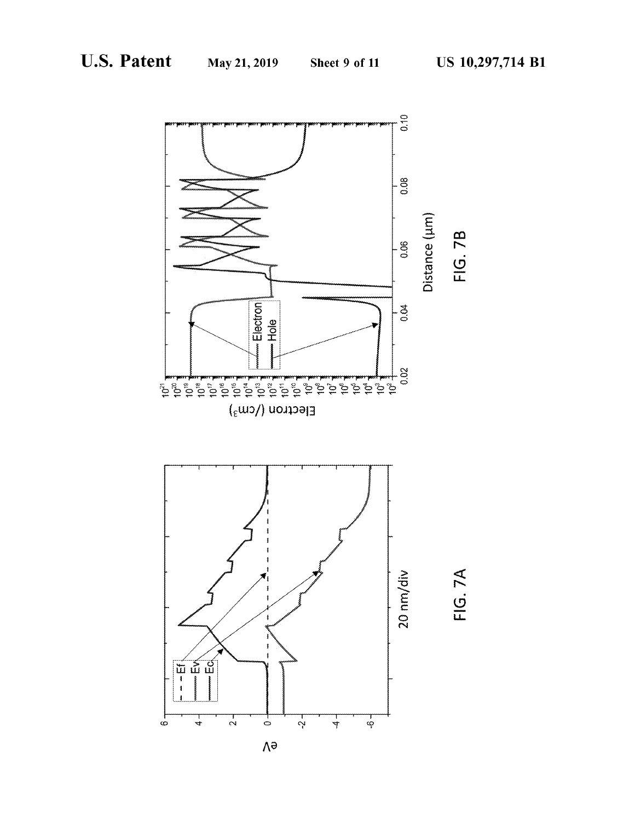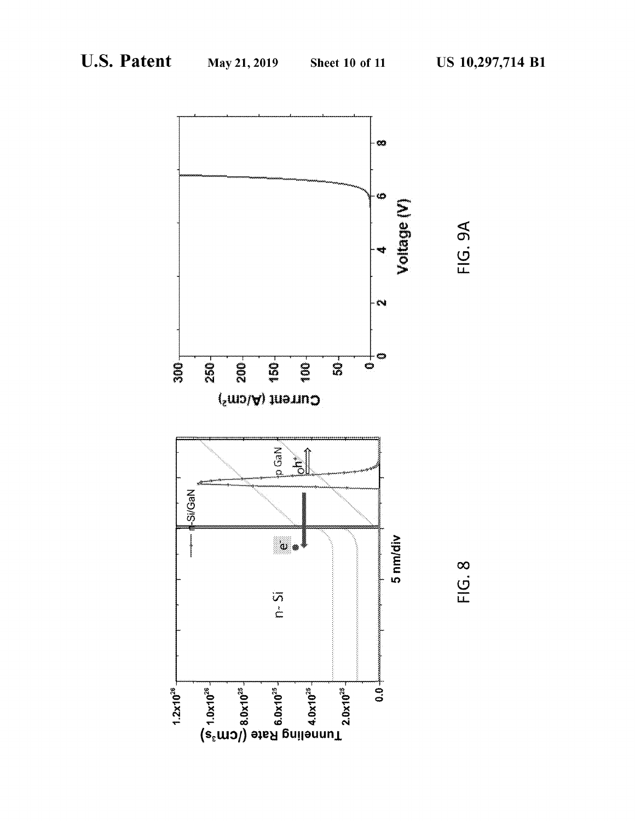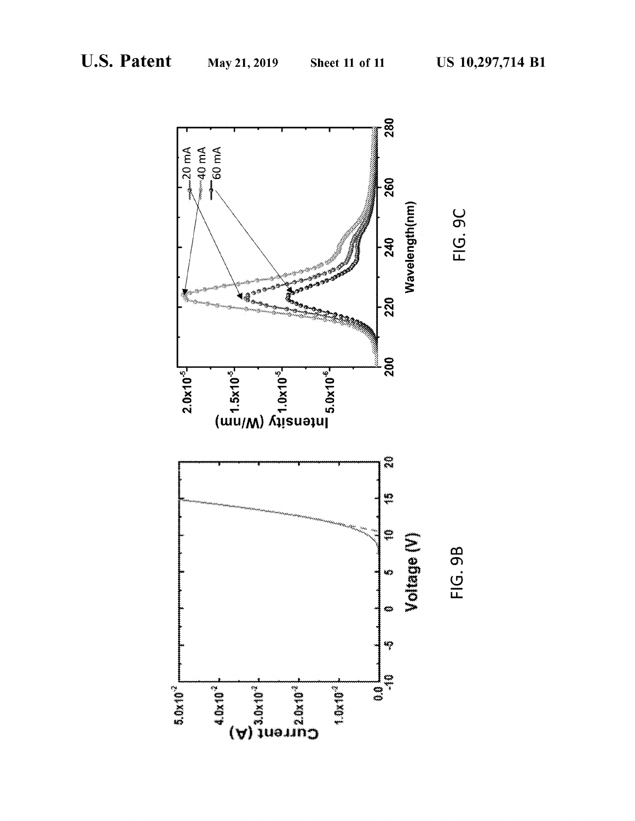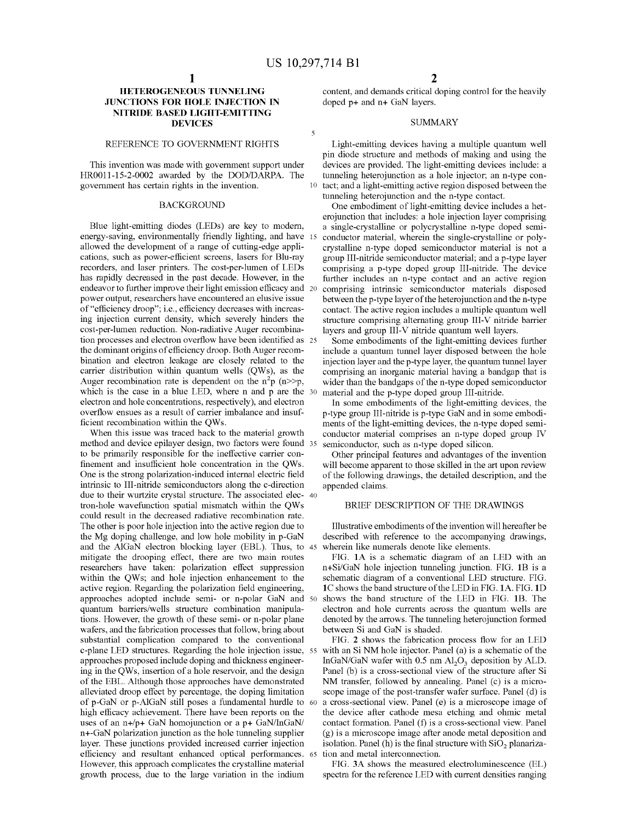$\overline{\mathbf{5}}$ 

# **HETEROGENEOUS TUNNELING JUNCTIONS FOR HOLE INJECTION IN NITRIDE BASED LIGHT-EMITTING DEVICES**

# REFERENCE TO GOVERNMENT RIGHTS

This invention was made with govermnent support under HR0Oll-15-2-0002 awarded by the DOD/DARPA. The

Blue light-emitting diodes (LEDs) are key to modern, energy-saving, environmentally friendly lighting, and have allowed the development of a range of cutting-edge applications, such as power-efficient screens, lasers for Blu-ray recorders, and laser printers. The cost-per-lumen of LEDs has rapidly decreased in the past decade. However, in the endeavor to further improve their light emission efficacy and 20 power output, researchers have encountered an elusive issue of"efficiency droop"; i.e., efficiency decreases with increasing injection current density, which severely hinders the cost-per-lumen reduction. Non-radiative Auger recombination processes and electron overflow have been identified as 25 the dominant origins of efficiency droop. Both Auger recombination and electron leakage are closely related to the carrier distribution within quantum wells (QWs), as the Auger recombination rate is dependent on the  $n^2p$  ( $n>>p$ , which is the case in a blue LED, where n and p are the 30 electron and hole concentrations, respectively), and electron overflow ensues as a result of carrier imbalance and insufficient recombination within the QWs.<br>When this issue was traced back to the material growth

method and device epilayer design, two factors were found 35 semiconductor, such as n-type doped silicon. to be primarily responsible for the ineffective carrier confinement and insufficient hole concentration in the QWs. One is the strong polarization-induced internal electric field intrinsic to III-nitride semiconductors along the c-direction due to their wurtzite crystal structure. The associated elec- 40 tron-hole wavefunction spatial mismatch within the QWs could result in the decreased radiative recombination rate. The other is poor hole injection into the active region due to the Mg doping challenge, and low hole mobility in p-GaN and the AlGaN electron blocking layer (EBL). Thus, to 45 mitigate the drooping effect, there are two main routes researchers have taken: polarization effect suppression within the QWs; and hole injection enhancement to the active region. Regarding the polarization field engineering, approaches adopted include semi- or n-polar GaN and quantum barriers/wells structure combination manipulations. However, the growth of these semi- or n-polar plane wafers, and the fabrication processes that follow, bring about substantial complication compared to the conventional c-plane LED structures. Regarding the hole injection issue, 55 approaches proposed include doping and thickness engineering in the QWs, insertion of a hole reservoir, and the design of the EBL. Although those approaches have demonstrated alleviated droop effect by percentage, the doping limitation of p-GaN or p-AlGaN still poses a fundamental hurdle to 60 high efficacy achievement. There have been reports on the uses of an n+/p+ GaN homojunction or a p+ GaN/InGaN/ n+-GaN polarization junction as the hole tunneling supplier layer. These junctions provided increased carrier injection efficiency and resultant enhanced optical performances. 65 However, this approach complicates the crystalline material growth process, due to the large variation in the indium

content, and demands critical doping control for the heavily doped p+ and n+ GaN layers.

#### SUMMARY

Light-emitting devices having a multiple quantum well pin diode structure and methods of making and using the devices are provided. The light-emitting devices include: a tunneling heterojunction as a hole injector; an n-type congovermnent has certain rights in the invention. 10 tact; and a light-emitting active region disposed between the tunneling heterojunction and the n-type contact.

BACKGROUND One embodiment of light-emitting device includes a heterojunction that includes: a hole injection layer comprising a single-crystalline or polycrystalline n-type doped semiconductor material, wherein the single-crystalline or polycrystalline n-type doped semiconductor material is not a group III-nitride semiconductor material; and a p-type layer comprising a p-type doped group III-nitride. The device further includes an n-type contact and an active region comprising intrinsic semiconductor materials disposed between the p-type layer of the heterojunction and the n-type contact. The active region includes a multiple quantum well structure comprising alternating group III-V nitride barrier layers and group III-V nitride quantum well layers.

> Some embodiments of the light-emitting devices further include a quantum tunnel layer disposed between the hole injection layer and the p-type layer, the quantum tunnel layer comprising an inorganic material having a bandgap that is wider than the bandgaps of then-type doped semiconductor material and the p-type doped group III-nitride.

> In some embodiments of the light-emitting devices, the p-type group III-nitride is p-type GaN and in some embodiments of the light-emitting devices, the n-type doped semiconductor material comprises an n-type doped group IV

> Other principal features and advantages of the invention will become apparent to those skilled in the art upon review of the following drawings, the detailed description, and the appended claims.

# BRIEF DESCRIPTION OF THE DRAWINGS

Illustrative embodiments of the invention will hereafter be described with reference to the accompanying drawings, wherein like numerals denote like elements.

FIG. **IA** is a schematic diagram of an LED with an n+Si/GaN hole injection tunneling junction. FIG. **IB** is a schematic diagram of a conventional LED structure. FIG. **IC** shows the band structure of the LED in FIG. **IA.** FIG. **ID**  50 shows the band structure of the LED in FIG. **IB.** The electron and hole currents across the quantum wells are denoted by the arrows. The tunneling heterojunction formed between Si and GaN is shaded.

FIG. **2** shows the fabrication process flow for an LED with an Si NM hole injector. Panel (a) is a schematic of the InGaN/GaN wafer with  $0.5$  nm  $Al_2O_3$  deposition by ALD. Panel (b) is a cross-sectional view of the structure after Si NM transfer, followed by annealing. Panel (c) is a microscope image of the post-transfer wafer surface. Panel (d) is a cross-sectional view. Panel (e) is a microscope image of the device after cathode mesa etching and ohmic metal contact formation. Panel (f) is a cross-sectional view. Panel (g) is a microscope image after anode metal deposition and isolation. Panel (h) is the final structure with  $SiO<sub>2</sub>$  planarization and metal interconnection.

FIG. **3A** shows the measured electroluminescence (EL) spectra for the reference LED with current densities ranging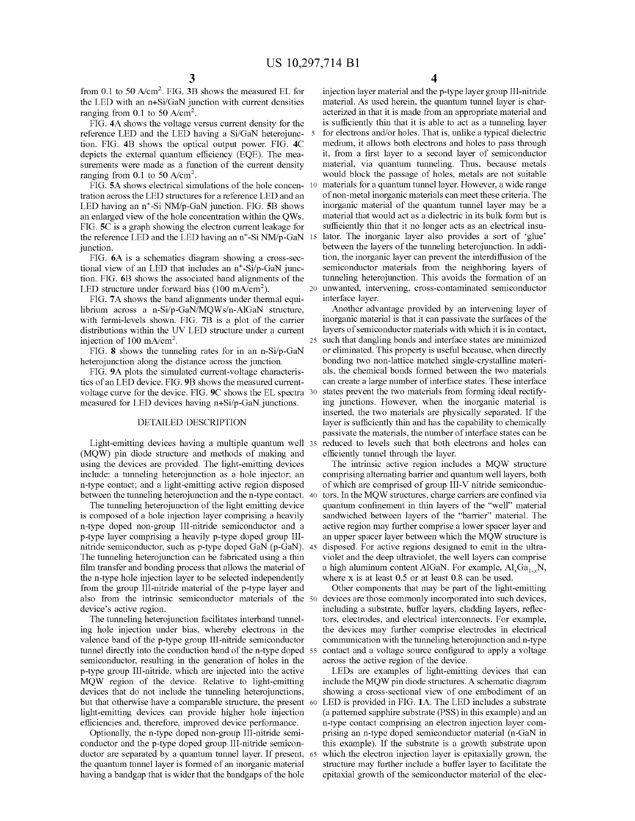from 0.1 to 50 A/cm<sup>2</sup> . FIG. **3B** shows the measured EL for the LED with an n+Si/GaN junction with current densities ranging from 0.1 to 50  $A/cm<sup>2</sup>$ .

FIG. **4A** shows the voltage versus current density for the reference LED and the LED having a Si/GaN heterojunction. FIG. **4B** shows the optical output power. FIG. **4C**  depicts the external quantum efficiency (EQE). The measurements were made as a function of the current density ranging from 0.1 to 50  $A/cm<sup>2</sup>$ .

FIG. **SA** shows electrical simulations of the hole concentration across the LED structures for a reference LED and an LED having an n+-Si NM/p-GaN junction. FIG. **SB** shows an enlarged view of the hole concentration within the QWs. material that would act as a dielectric in its bulk form but is FIG. **SC** is a graph showing the electron current leakage for the reference LED and the LED having an  $n^+$ -Si NM/p-GaN 15 junction. between the layers of the tunneling heterojunction. In addi-

FIG. **6A** is a schematics diagram showing a cross-sectional view of an LED that includes an n<sup>+</sup>-Si/p-GaN junction. FIG. **6B** shows the associated band alignments of the LED structure under forward bias  $(100 \text{ mA/cm}^2)$ .

FIG. **7A** shows the band alignments under thermal equilibrium across a n-Si/p-GaN/MQWs/n-AlGaN structure, with fermi-levels shown. FIG. **7B** is a plot of the carrier distributions within the UV LED structure under a current injection of 100 mA/cm<sup>2</sup>.

FIG. **8** shows the tunneling rates for in an n-Si/p-GaN heterojunction along the distance across the junction.

FIG. **9A** plots the simulated current-voltage characteristics of an LED device. FIG. **9B** shows the measured currentvoltage curve for the device. FIG. **9C** shows the EL spectra measured for LED devices having n+Si/p-GaN junctions.

# DETAILED DESCRIPTION

Light-emitting devices having a multiple quantum well 35 (MQW) pin diode structure and methods of making and using the devices are provided. The light-emitting devices include: a tunneling heterojunction as a hole injector; an n-type contact; and a light-emitting active region disposed between the tunneling heterojunction and the n-type contact. 40

The tunneling heterojunction of the light emitting device is composed of a hole injection layer comprising a heavily n-type doped non-group III-nitride semiconductor and a p-type layer comprising a heavily p-type doped group IIInitride semiconductor, such as p-type doped GaN (p-GaN). 45 The tunneling heterojunction can be fabricated using a thin film transfer and bonding process that allows the material of the n-type hole injection layer to be selected independently from the group III-nitride material of the p-type layer and also from the intrinsic semiconductor materials of the 50 device's active region.

The tunneling heterojunction facilitates interband tunneling hole injection under bias, whereby electrons in the valence band of the p-type group III-nitride semiconductor tunnel directly into the conduction band of the n-type doped 55 semiconductor, resulting in the generation of holes in the p-type group III-nitride, which are injected into the active MQW region of the device. Relative to light-emitting devices that do not include the tunneling heterojunctions, but that otherwise have a comparable structure, the present 60 light-emitting devices can provide higher hole injection efficiencies and, therefore, improved device performance.

Optionally, the n-type doped non-group III-nitride semiconductor and the p-type doped group III-nitride semiconductor are separated by a quantum tunnel layer. If present, the quantum tunnel layer is formed of an inorganic material having a bandgap that is wider that the bandgaps of the hole

**4** 

injection layer material and the p-type layer group III-nitride material. As used herein, the quantum tunnel layer is characterized in that it is made from an appropriate material and is sufficiently thin that it is able to act as a tunneling layer 5 for electrons and/or holes. That is, unlike a typical dielectric medium, it allows both electrons and holes to pass through it, from a first layer to a second layer of semiconductor material, via quantum tunneling. Thus, because metals would block the passage of holes, metals are not suitable materials for a quantum tunnel layer. However, a wide range of non-metal inorganic materials can meet these criteria. The inorganic material of the quantum tunnel layer may be a sufficiently thin that it no longer acts as an electrical insulator. The inorganic layer also provides a sort of 'glue' tion, the inorganic layer can prevent the interdiffusion of the semiconductor materials from the neighboring layers of tunneling heterojunction. This avoids the formation of an 20 unwanted, intervening, cross-contaminated semiconductor interface layer.

Another advantage provided by an intervening layer of inorganic material is that it can passivate the surfaces of the layers of semiconductor materials with which it is in contact, 25 such that dangling bonds and interface states are minimized or eliminated. This property is useful because, when directly bonding two non-lattice matched single-crystalline materials, the chemical bonds formed between the two materials can create a large number of interface states. These interface states prevent the two materials from forming ideal rectifying junctions. However, when the inorganic material is inserted, the two materials are physically separated. If the layer is sufficiently thin and has the capability to chemically passivate the materials, the number of interface states can be reduced to levels such that both electrons and holes can efficiently tunnel through the layer.

The intrinsic active region includes a MQW structure comprising alternating barrier and quantum well layers, both of which are comprised of group III-V nitride semiconductors. In the MQW structures, charge carriers are confined via quantum confinement in thin layers of the "well" material sandwiched between layers of the "barrier" material. The active region may further comprise a lower spacer layer and an upper spacer layer between which the MQW structure is disposed. For active regions designed to emit in the ultraviolet and the deep ultraviolet, the well layers can comprise a high aluminum content AlGaN. For example,  $AI_xGa_{1x}N$ , where x is at least 0.5 or at least 0.8 can be used.

Other components that may be part of the light-emitting devices are those commonly incorporated into such devices, including a substrate, buffer layers, cladding layers, reflectors, electrodes, and electrical interconnects. For example, the devices may further comprise electrodes in electrical communication with the tunneling heterojunction and n-type contact and a voltage source configured to apply a voltage across the active region of the device.

LEDs are examples of light-emitting devices that can include the MQW pin diode structures. A schematic diagram showing a cross-sectional view of one embodiment of an LED is provided in FIG. 1A. The LED includes a substrate (a patterned sapphire substrate (PSS) in this example) and an n-type contact comprising an electron injection layer comprising an n-type doped semiconductor material (n-GaN in this example). If the substrate is a growth substrate upon which the electron injection layer is epitaxially grown, the structure may further include a buffer layer to facilitate the epitaxial growth of the semiconductor material of the elec-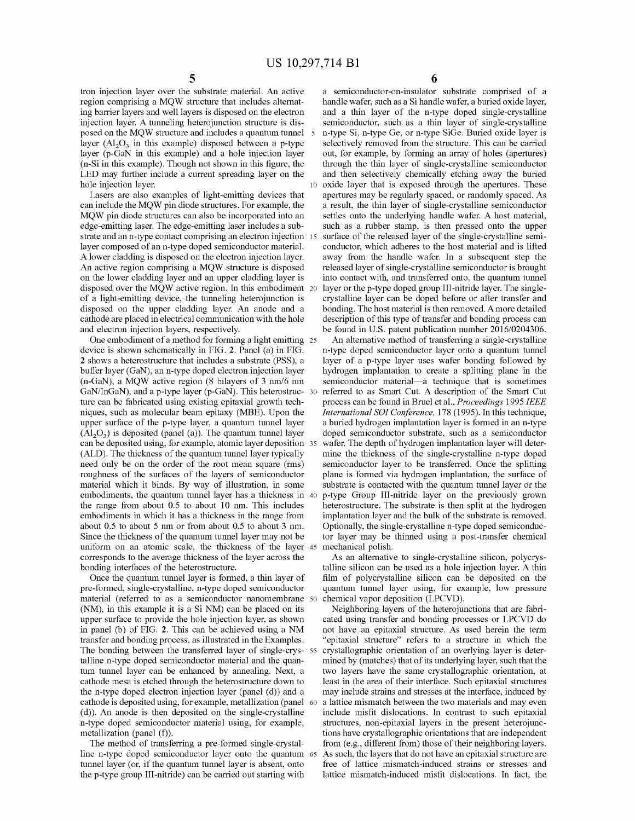tron injection layer over the substrate material. An active region comprising a MQW structure that includes alternating barrier layers and well layers is disposed on the electron injection layer. A tunneling heterojunction structure is disposed on the MQW structure and includes a quantum tunnel 5 layer  $(Al<sub>2</sub>O<sub>3</sub>$  in this example) disposed between a p-type layer (p-GaN in this example) and a hole injection layer (n-Si in this example). Though not shown in this figure, the LED may further include a current spreading layer on the hole injection layer.

Lasers are also examples of light-emitting devices that can include the MQW pin diode structures. For example, the MQW pin diode structures can also be incorporated into an edge-emitting laser. The edge-emitting laser includes a substrate and an n-type contact comprising an electron injection 15 layer composed of an n-type doped semiconductor material. A lower cladding is disposed on the electron injection layer. An active region comprising a MQW structure is disposed on the lower cladding layer and an upper cladding layer is disposed over the MQW active region. In this embodiment 20 of a light-emitting device, the tunneling heterojunction is disposed on the upper cladding layer. An anode and a cathode are placed in electrical communication with the hole and electron injection layers, respectively.

One embodiment of a method for forming a light emitting 25 device is shown schematically in FIG. **2.** Panel (a) in FIG. **2** shows a heterostructure that includes a substrate (PSS), a buffer layer (GaN), an n-type doped electron injection layer (n-GaN), a MQW active region (8 bilayers of 3 nm/6 nm GaN/InGaN), and a p-type layer (p-GaN). This heterostruc- 30 ture can be fabricated using existing epitaxial growth techniques, such as molecular beam epitaxy (MBE). Upon the upper surface of the p-type layer, a quantum tunnel layer  $(\overline{Al}_2O_3)$  is deposited (panel (a)). The quantum tunnel layer can be deposited using, for example, atomic layer deposition 35 (ALD). The thickness of the quantum tunnel layer typically need only be on the order of the root mean square (rms) roughness of the surfaces of the layers of semiconductor material which it binds. By way of illustration, in some embodiments, the quantum tunnel layer has a thickness in 40 the range from about 0.5 to about 10 nm. This includes embodiments in which it has a thickness in the range from about 0.5 to about 5 nm or from about 0.5 to about 3 nm. Since the thickness of the quantum tunnel layer may not be uniform on an atomic scale, the thickness of the layer 45 corresponds to the average thickness of the layer across the bonding interfaces of the heterostructure.

Once the quantum tunnel layer is formed, a thin layer of pre-formed, single-crystalline, n-type doped semiconductor material (referred to as a semiconductor nanomembrane 50 (NM), in this example it is a Si NM) can be placed on its upper surface to provide the hole injection layer, as shown in panel (b) of FIG. **2.** This can be achieved using a NM transfer and bonding process, as illustrated in the Examples. The bonding between the transferred layer of single-crys- 55 talline n-type doped semiconductor material and the quantum tunnel layer can be enhanced by annealing. Next, a cathode mesa is etched through the heterostructure down to the n-type doped electron injection layer (panel  $(d)$ ) and a cathode is deposited using, for example, metallization (panel (d)). An anode is then deposited on the single-crystalline n-type doped semiconductor material using, for example, metallization (panel (f)).

The method of transferring a pre-formed single-crystalline n-type doped semiconductor layer onto the quantum 65 tunnel layer (or, if the quantum tunnel layer is absent, onto the p-type group III-nitride) can be carried out starting with

a semiconductor-on-insulator substrate comprised of a handle wafer, such as a Si handle wafer, a buried oxide layer, and a thin layer of the n-type doped single-crystalline semiconductor, such as a thin layer of single-crystalline n-type Si, n-type Ge, or n-type SiGe. Buried oxide layer is selectively removed from the structure. This can be carried out, for example, by forming an array of holes (apertures) through the thin layer of single-crystalline semiconductor and then selectively chemically etching away the buried oxide layer that is exposed through the apertures. These apertures may be regularly spaced, or randomly spaced. As a result, the thin layer of single-crystalline semiconductor settles onto the underlying handle wafer. A host material, such as a rubber stamp, is then pressed onto the upper surface of the released layer of the single-crystalline semiconductor, which adheres to the host material and is lifted away from the handle wafer. In a subsequent step the released layer of single-crystalline semiconductor is brought into contact with, and transferred onto, the quantum tunnel layer or the p-type doped group III-nitride layer. The singlecrystalline layer can be doped before or after transfer and bonding. The host material is then removed. A more detailed description of this type of transfer and bonding process can be found in U.S. patent publication number 2016/0204306.

An alternative method of transferring a single-crystalline n-type doped semiconductor layer onto a quantum tunnel layer of a p-type layer uses wafer bonding followed by hydrogen implantation to create a splitting plane in the semiconductor material-a technique that is sometimes referred to as Smart Cut. A description of the Smart Cut process can be found in Brue! et al., *Proceedings* 1995 *IEEE International SOI Conference,* 178 (1995). In this technique, a buried hydrogen implantation layer is formed in an n-type doped semiconductor substrate, such as a semiconductor wafer. The depth of hydrogen implantation layer will determine the thickness of the single-crystalline n-type doped semiconductor layer to be transferred. Once the splitting plane is formed via hydrogen implantation, the surface of substrate is contacted with the quantum tunnel layer or the p-type Group III-nitride layer on the previously grown heterostructure. The substrate is then split at the hydrogen implantation layer and the bulk of the substrate is removed. Optionally, the single-crystalline n-type doped semiconductor layer may be thinned using a post-transfer chemical mechanical polish.

As an alternative to single-crystalline silicon, polycrystalline silicon can be used as a hole injection layer. A thin film of polycrystalline silicon can be deposited on the quantum tunnel layer using, for example, low pressure chemical vapor deposition (LPCVD).

Neighboring layers of the heterojunctions that are fabricated using transfer and bonding processes or LPCVD do not have an epitaxial structure. As used herein the term "epitaxial structure" refers to a structure in which the crystallographic orientation of an overlying layer is determined by (matches) that of its underlying layer, such that the two layers have the same crystallographic orientation, at least in the area of their interface. Such epitaxial structures may include strains and stresses at the interface, induced by a lattice mismatch between the two materials and may even include misfit dislocations. In contrast to such epitaxial structures, non-epitaxial layers in the present heterojunctions have crystallographic orientations that are independent from (e.g., different from) those of their neighboring layers. As such, the layers that do not have an epitaxial structure are free of lattice mismatch-induced strains or stresses and lattice mismatch-induced misfit dislocations. In fact, the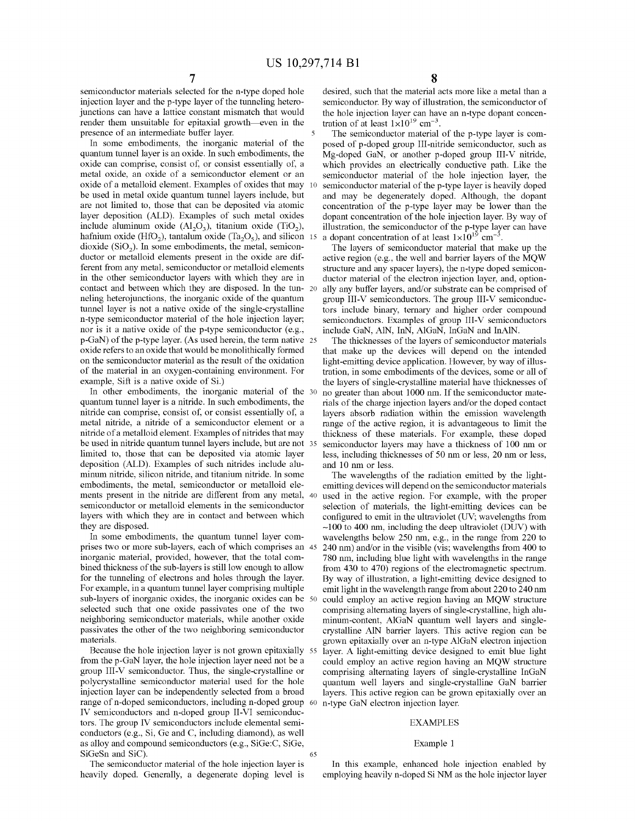semiconductor materials selected for the n-type doped hole injection layer and the p-type layer of the tunneling heterojunctions can have a lattice constant mismatch that would render them unsuitable for epitaxial growth—even in the presence of an intermediate buffer layer.

In some embodiments, the inorganic material of the quantum tunnel layer is an oxide. In such embodiments, the oxide can comprise, consist of, or consist essentially of, a metal oxide, an oxide of a semiconductor element or an oxide of a metalloid element. Examples of oxides that may be used in metal oxide quantum tunnel layers include, but are not limited to, those that can be deposited via atomic layer deposition (ALD). Examples of such metal oxides include aluminum oxide  $(Al_2O_3)$ , titanium oxide (TiO<sub>2</sub>), hafnium oxide (HfO<sub>2</sub>), tantalum oxide (Ta<sub>2</sub>O<sub>5</sub>), and silicon 15 dioxide  $(SiO<sub>2</sub>)$ . In some embodiments, the metal, semiconductor or metalloid elements present in the oxide are different from any metal, semiconductor or metalloid elements in the other semiconductor layers with which they are in contact and between which they are disposed. In the tunneling heterojunctions, the inorganic oxide of the quantum tunnel layer is not a native oxide of the single-crystalline n-type semiconductor material of the hole injection layer; nor is it a native oxide of the p-type semiconductor (e.g., p-GaN) of the p-type layer. (As used herein, the term native 25 oxide refers to an oxide that would be monolithically formed on the semiconductor material as the result of the oxidation of the material in an oxygen-containing environment. For example, Sift is a native oxide of Si.)

In other embodiments, the inorganic material of the 30 quantum tunnel layer is a nitride. In such embodiments, the nitride can comprise, consist of, or consist essentially of, a metal nitride, a nitride of a semiconductor element or a nitride of a metalloid element. Examples of nitrides that may be used in nitride quantum tunnel layers include, but are not limited to, those that can be deposited via atomic layer deposition (ALD). Examples of such nitrides include aluminum nitride, silicon nitride, and titanium nitride. In some embodiments, the metal, semiconductor or metalloid elements present in the nitride are different from any metal, semiconductor or metalloid elements in the semiconductor layers with which they are in contact and between which they are disposed.

In some embodiments, the quantum tunnel layer comprises two or more sub-layers, each of which comprises an inorganic material, provided, however, that the total combined thickness of the sub-layers is still low enough to allow for the tunneling of electrons and holes through the layer. For example, in a quantum tunnel layer comprising multiple sub-layers of inorganic oxides, the inorganic oxides can be 50 selected such that one oxide passivates one of the two neighboring semiconductor materials, while another oxide passivates the other of the two neighboring semiconductor materials.

Because the hole injection layer is not grown epitaxially 55 from the p-GaN layer, the hole injection layer need not be a group III-V semiconductor. Thus, the single-crystalline or polycrystalline semiconductor material used for the hole injection layer can be independently selected from a broad range of n-doped semiconductors, including n-doped group 60 n-type GaN electron injection layer. IV semiconductors and n-doped group II-VI semiconductors. The group IV semiconductors include elemental semiconductors (e.g., Si, Ge and C, including diamond), as well as alloy and compound semiconductors (e.g., SiGe:C, SiGe, SiGeSn and SiC). 65

The semiconductor material of the hole injection layer is heavily doped. Generally, a degenerate doping level is

desired, such that the material acts more like a metal than a semiconductor. By way of illustration, the semiconductor of the hole injection layer can have an n-type dopant concentration of at least  $1\times10^{19}$  cm<sup>-3</sup>.

The semiconductor material of the p-type layer is composed of p-doped group III-nitride semiconductor, such as Mg-doped GaN, or another p-doped group III-V nitride, which provides an electrically conductive path. Like the semiconductor material of the hole injection layer, the 10 semiconductor material of the p-type layer is heavily doped and may be degenerately doped. Although, the dopant concentration of the p-type layer may be lower than the dopant concentration of the hole injection layer. By way of illustration, the semiconductor of the p-type layer can have a dopant concentration of at least  $1\times10^{19}$  cm<sup>-3</sup>.

The layers of semiconductor material that make up the active region (e.g., the well and barrier layers of the MQW structure and any spacer layers), the n-type doped semiconductor material of the electron injection layer, and, optionally any buffer layers, and/or substrate can be comprised of group III-V semiconductors. The group III-V semiconductors include binary, ternary and higher order compound semiconductors. Examples of group III-V semiconductors include GaN, AlN, InN, AlGaN, InGaN and InAlN.

The thicknesses of the layers of semiconductor materials that make up the devices will depend on the intended light-emitting device application. However, by way of illustration, in some embodiments of the devices, some or all of the layers of single-crystalline material have thicknesses of no greater than about 1000 nm. If the semiconductor materials of the charge injection layers and/or the doped contact layers absorb radiation within the emission wavelength range of the active region, it is advantageous to limit the thickness of these materials. For example, these doped semiconductor layers may have a thickness of 100 nm or less, including thicknesses of 50 nm or less, 20 nm or less, and 10 nm or less.

The wavelengths of the radiation emitted by the lightemitting devices will depend on the semiconductor materials used in the active region. For example, with the proper selection of materials, the light-emitting devices can be configured to emit in the ultraviolet (UV; wavelengths from -100 to 400 nm, including the deep ultraviolet (DUY) with wavelengths below 250 nm, e.g., in the range from 220 to 240 nm) and/or in the visible (vis; wavelengths from 400 to 780 nm, including blue light with wavelengths in the range from 430 to 470) regions of the electromagnetic spectrum. By way of illustration, a light-emitting device designed to emit light in the wavelength range from about 220 to 240 nm could employ an active region having an MQW structure comprising alternating layers of single-crystalline, high aluminum-content, AlGaN quantum well layers and singlecrystalline AlN barrier layers. This active region can be grown epitaxially over an n-type AlGaN electron injection layer. A light-emitting device designed to emit blue light could employ an active region having an MQW structure comprising alternating layers of single-crystalline InGaN quantum well layers and single-crystalline GaN barrier layers. This active region can be grown epitaxially over an

#### EXAMPLES

#### Example 1

In this example, enhanced hole injection enabled by employing heavily n-doped Si NM as the hole injector layer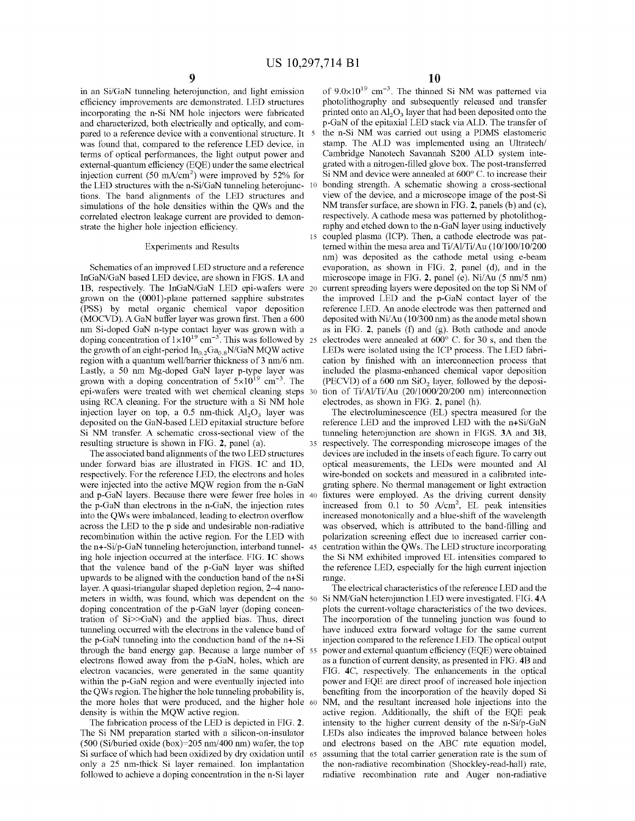in an Si/GaN tunneling heterojunction, and light emission efficiency improvements are demonstrated. LED structures incorporating the n-Si NM hole injectors were fabricated and characterized, both electrically and optically, and compared to a reference device with a conventional structure. It 5 was found that, compared to the reference LED device, in terms of optical performances, the light output power and external-quantum efficiency (EQE) under the same electrical injection current  $(50 \text{ mA/cm}^2)$  were improved by 52% for the LED structures with the n-Si/GaN tunneling heterojunc- 10 tions. The band alignments of the LED structures and simulations of the hole densities within the QWs and the correlated electron leakage current are provided to demonstrate the higher hole injection efficiency.

# Experiments and Results

Schematics of an improved LED structure and a reference InGaN/GaN based LED device, are shown in FIGS. **lA** and **1B, respectively.** The InGaN/GaN LED epi-wafers were 20 grown on the (0001)-plane patterned sapphire substrates (PSS) by metal organic chemical vapor deposition (MOCVD). A GaN buffer layer was grown first. Then a 600 nm Si-doped GaN n-type contact layer was grown with a doping concentration of  $1 \times 10^{19}$  cm<sup>-3</sup>. This was followed by 25 the growth of an eight-period  $In_{0.2}Ga_{0.8}N/GaN$  MQW active region with a quantum well/barrier thickness of 3 nm/6 nm. Lastly, a 50 nm Mg-doped GaN layer p-type layer was grown with a doping concentration of  $5\times10^{19}$  cm<sup>-3</sup>. The epi-wafers were treated with wet chemical cleaning steps using RCA cleaning. For the structure with a Si NM hole injection layer on top, a 0.5 nm-thick  $Al_2O_3$  layer was deposited on the GaN-based LED epitaxial structure before<br>Si NM transfer. A schematic cross-sectional view of the resulting structure is shown in FIG. **2,** panel (a). 35 respectively. The corresponding microscope images of the

The associated band alignments of the two LED structures under forward bias are illustrated in FIGS. **lC and lD,**  respectively. For the reference LED, the electrons and holes were injected into the active MQW region from the n-GaN and p-GaN layers. Because there were fewer free holes in 40 the p-GaN than electrons in the n-GaN, the injection rates into the QWs were imbalanced, leading to electron overflow across the LED to the p side and undesirable non-radiative recombination within the active region. For the LED with the n+-Si/p-GaN tunneling heterojunction, interband tunnel- 45 ing hole injection occurred at the interface. FIG. **lC** shows that the valence band of the p-GaN layer was shifted upwards to be aligned with the conduction band of the n+Si layer. A quasi-triangular shaped depletion region, 2-4 nanometers in width, was found, which was dependent on the 50 doping concentration of the p-GaN layer (doping concentration of Si>>GaN) and the applied bias. Thus, direct tunneling occurred with the electrons in the valence band of the p-GaN tunneling into the conduction band of the n+-Si through the band energy gap. Because a large number of 55 electrons flowed away from the p-GaN, holes, which are electron vacancies, were generated in the same quantity within the p-GaN region and were eventually injected into the QW s region. The higher the hole tunneling probability is, the more holes that were produced, and the higher hole 60 density is within the MQW active region.

The fabrication process of the LED is depicted in FIG. **2.**  The Si NM preparation started with a silicon-on-insulator (500 (Si/buried oxide (box)=205 nm/400 nm) wafer, the top Si surface of which had been oxidized by dry oxidation until 65 only a 25 nm-thick Si layer remained. Ion implantation followed to achieve a doping concentration in the n-Si layer

of  $9.0 \times 10^{19}$  cm<sup>-3</sup>. The thinned Si NM was patterned via photolithography and subsequently released and transfer printed onto an  $A1_2O_3$  layer that had been deposited onto the p-GaN of the epitaxial LED stack via ALD. The transfer of the n-Si NM was carried out using a PDMS elastomeric stamp. The ALD was implemented using an Ultratech/ Cambridge Nanotech Savannah S200 ALD system integrated with a nitrogen-filled glove box. The post-transferred Si NM and device were annealed at 600° C. to increase their bonding strength. A schematic showing a cross-sectional view of the device, and a microscope image of the post-Si NM transfer surface, are shown in FIG. 2, panels (b) and (c), respectively. A cathode mesa was patterned by photolithography and etched down to the n-GaN layer using inductively 15 coupled plasma (ICP). Then, a cathode electrode was patterned within the mesa area and Ti/Al/Ti/Au (10/100/10/200 nm) was deposited as the cathode metal using e-beam evaporation, as shown in FIG. **2,** panel (d), and in the microscope image in FIG. **2,** panel (e). Ni/Au (5 nm/5 nm) current spreading layers were deposited on the top Si NM of the improved LED and the p-GaN contact layer of the reference LED. An anode electrode was then patterned and deposited with Ni/Au (10/300 nm) as the anode metal shown as in FIG. **2,** panels (f) and (g). Both cathode and anode electrodes were annealed at  $600^{\circ}$  C. for 30 s, and then the LEDs were isolated using the ICP process. The LED fabrication by finished with an interconnection process that included the plasma-enhanced chemical vapor deposition (PECVD) of a  $600 \text{ nm SiO}_2$  layer, followed by the deposition of Ti/Al/Ti/Au (20/1000/20/200 nm) interconnection electrodes, as shown in FIG. **2,** panel (h).

The electroluminescence (EL) spectra measured for the reference LED and the improved LED with the n+Si/GaN tunneling heterojunction are shown in FIGS. 3A and 3B, devices are included in the insets of each figure. To carry out optical measurements, the LEDs were mounted and Al wire-bonded on sockets and measured in a calibrated integrating sphere. No thermal management or light extraction fixtures were employed. As the driving current density increased from 0.1 to 50  $A/cm^2$ , EL peak intensities increased monotonically and a blue-shift of the wavelength was observed, which is attributed to the band-filling and polarization screening effect due to increased carrier concentration within the QWs. The LED structure incorporating the Si NM exhibited improved EL intensities compared to the reference LED, especially for the high current injection range.

The electrical characteristics of the reference LED and the Si NM/GaN heterojunction LED were investigated. FIG. **4A**  plots the current-voltage characteristics of the two devices. The incorporation of the tunneling junction was found to have induced extra forward voltage for the same current injection compared to the reference LED. The optical output power and external quantum efficiency (EQE) were obtained as a function of current density, as presented in FIG. **4B** and FIG. **4C,** respectively. The enhancements in the optical power and EQE are direct proof of increased hole injection benefiting from the incorporation of the heavily doped Si NM, and the resultant increased hole injections into the active region. Additionally, the shift of the EQE peak intensity to the higher current density of the n-Si/p-GaN LEDs also indicates the improved balance between holes and electrons based on the ABC rate equation model, assuming that the total carrier generation rate is the sum of the non-radiative recombination (Shockley-read-hall) rate, radiative recombination rate and Auger non-radiative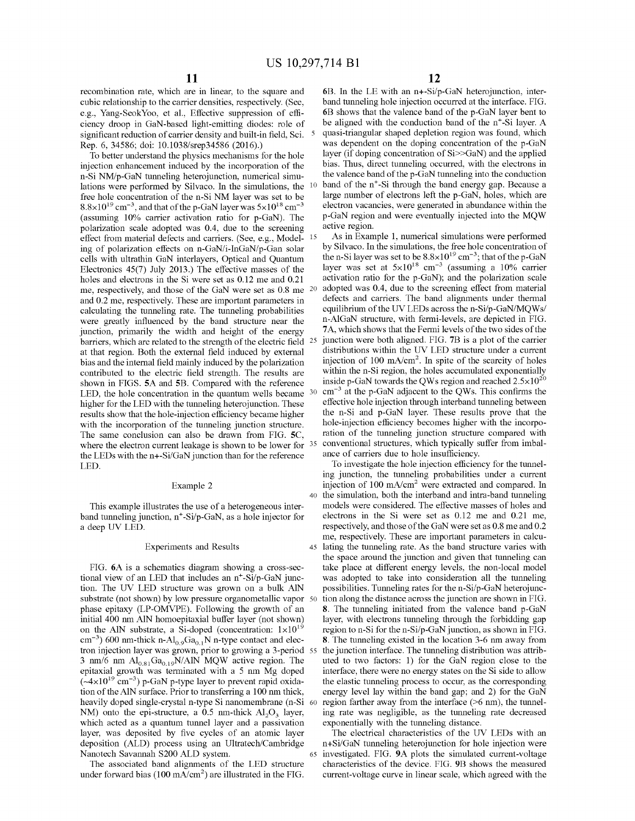recombination rate, which are in linear, to the square and cubic relationship to the carrier densities, respectively. (See, e.g., Yang-SeokYoo, et al., Effective suppression of efficiency droop in GaN-based light-emitting diodes: role of significant reduction of carrier density and built-in field, Sci. 5 Rep. 6, 34586; doi: 10.1038/srep34586 (2016).)

To better understand the physics mechanisms for the hole injection enhancement induced by the incorporation of the n-Si NM/p-GaN tunneling heterojunction, numerical simulations were performed by Silvaco. In the simulations, the <sup>10</sup> free hole concentration of the n-Si NM layer was set to be  $8.8\times10^{19}$  cm<sup>-3</sup>, and that of the p-GaN layer was  $5\times10^{18}$  cm<sup>-3</sup> (assuming 10% carrier activation ratio for p-GaN). The polarization scale adopted was 0.4, due to the screening effect from material defects and carriers. (See, e.g., Model- 15 ing of polarization effects on n-GaN/i-InGaN/p-Gan solar cells with ultrathin GaN interlayers, Optical and Quantum Electronics 45(7) July 2013.) The effective masses of the holes and electrons in the Si were set as 0.12 me and 0.21 me, respectively, and those of the GaN were set as 0.8 me and 0.2 me, respectively. These are important parameters in calculating the tunneling rate. The tunneling probabilities were greatly influenced by the band structure near the junction, primarily the width and height of the energy barriers, which are related to the strength of the electric field <sup>25</sup> at that region. Both the external field induced by external bias and the internal field mainly induced by the polarization contributed to the electric field strength. The results are shown in FIGS. **SA** and **SB.** Compared with the reference LED, the hole concentration in the quantum wells became <sup>30</sup> higher for the LED with the tunneling heterojunction. These results show that the hole-injection efficiency became higher with the incorporation of the tunneling junction structure. The same conclusion can also be drawn from FIG. **SC,**  where the electron current leakage is shown to be lower for <sup>35</sup> the LEDs with the n+-Si/GaN junction than for the reference LED.

# Example 2

This example illustrates the use of a heterogeneous interband tunneling junction,  $n^+$ -Si/p-GaN, as a hole injector for a deep UV LED.

# Experiments and Results

FIG. **6A** is a schematics diagram showing a cross-sectional view of an LED that includes an  $n^+$ -Si/p-GaN junction. The UV LED structure was grown on a bulk AlN substrate (not shown) by low pressure organometallic vapor 50 phase epitaxy (LP-OMVPE). Following the growth of an initial 400 nm AlN homoepitaxial buffer layer (not shown) on the AlN substrate, a Si-doped (concentration:  $1 \times 10^{19}$  $\text{cm}^{-3}$ ) 600 nm-thick n-Al $_{0.9}$ Ga $_{0.1}$ N n-type contact and electron injection layer was grown, prior to growing a 3-period 3 nm/6 nm  $Al_{0.81}Ga_{0.19}N/AlN$  MQW active region. The epitaxial growth was terminated with a 5 nm Mg doped  $(-4\times10^{19} \text{ cm}^{-3})$  p-GaN p-type layer to prevent rapid oxidation of the AlN surface. Prior to transferring a 100 nm thick, heavily doped single-crystal n-type Si nanomembrane (n-Si NM) onto the epi-structure, a 0.5 nm-thick  $Al_2O_3$  layer, which acted as a quantum tunnel layer and a passivation layer, was deposited by five cycles of an atomic layer deposition (ALD) process using an Ultratech/Cambridge Nanotech Savannah S200 ALD system.

The associated band alignments of the LED structure under forward bias  $(100 \text{ mA/cm}^2)$  are illustrated in the FIG. **6B.** In the LE with an n+-Si/p-GaN heterojunction, interband tunneling hole injection occurred at the interface. FIG. **6B** shows that the valence band of the p-GaN layer bent to be aligned with the conduction band of the n+-Si layer. A quasi-triangular shaped depletion region was found, which was dependent on the doping concentration of the p-GaN layer (if doping concentration of Si>>GaN) and the applied bias. Thus, direct tunneling occurred, with the electrons in the valence band of the p-GaN tunneling into the conduction band of the n<sup>+</sup>-Si through the band energy gap. Because a large number of electrons left the p-GaN, holes, which are electron vacancies, were generated in abundance within the p-GaN region and were eventually injected into the MQW active region.

As in Example 1, numerical simulations were performed by Silvaco. In the simulations, the free hole concentration of the n-Si layer was set to be  $8.8 \times 10^{19}$  cm<sup>-3</sup>; that of the p-GaN layer was set at  $5\times10^{18}$  cm<sup>-3</sup> (assuming a 10% carrier activation ratio for the p-GaN); and the polarization scale adopted was 0.4, due to the screening effect from material defects and carriers. The band alignments under thermal equilibrium of the UV LEDs across the n-Si/p-GaN/MQWs/ n-AlGaN structure, with fermi-levels, are depicted in FIG. **7A,** which shows that the Fermi levels of the two sides of the junction were both aligned. FIG. 7B is a plot of the carrier distributions within the UV LED structure under a current injection of  $100 \text{ mA/cm}^2$ . In spite of the scarcity of holes within the n-Si region, the holes accumulated exponentially inside p-GaN towards the QWs region and reached  $2.5 \times 10^{20}$  $cm^{-3}$  at the p-GaN adjacent to the QWs. This confirms the effective hole injection through interband tunneling between the n-Si and p-GaN layer. These results prove that the hole-injection efficiency becomes higher with the incorporation of the tunneling junction structure compared with conventional structures, which typically suffer from imbalance of carriers due to hole insufficiency.

To investigate the hole injection efficiency for the tunneling junction, the tunneling probabilities under a current injection of  $100 \text{ mA/cm}^2$  were extracted and compared. In 40 the simulation, both the interband and intra-band tunneling models were considered. The effective masses of holes and electrons in the Si were set as 0.12 me and 0.21 me, respectively, and those of the GaN were set as 0.8 me and 0.2 me, respectively. These are important parameters in calcu-45 lating the tunneling rate. As the band structure varies with the space around the junction and given that tunneling can take place at different energy levels, the non-local model was adopted to take into consideration all the tunneling possibilities. Tunneling rates for the n-Si/p-GaN heterojunction along the distance across the junction are shown in FIG. **8.** The tunneling initiated from the valence band p-GaN layer, with electrons tunneling through the forbidding gap region to n-Si for the n-Si/p-GaN junction, as shown in FIG. **8.** The tunneling existed in the location 3-6 nm away from the junction interface. The tunneling distribution was attributed to two factors: 1) for the GaN region close to the interface, there were no energy states on the Si side to allow the elastic tunneling process to occur, as the corresponding energy level lay within the band gap; and 2) for the GaN region farther away from the interface  $($ >6 nm), the tunneling rate was negligible, as the tunneling rate decreased exponentially with the tunneling distance.

The electrical characteristics of the UV LEDs with an n+Si/GaN tunneling heterojunction for hole injection were 65 investigated. FIG. **9A** plots the simulated current-voltage characteristics of the device. FIG. **9B** shows the measured current-voltage curve in linear scale, which agreed with the